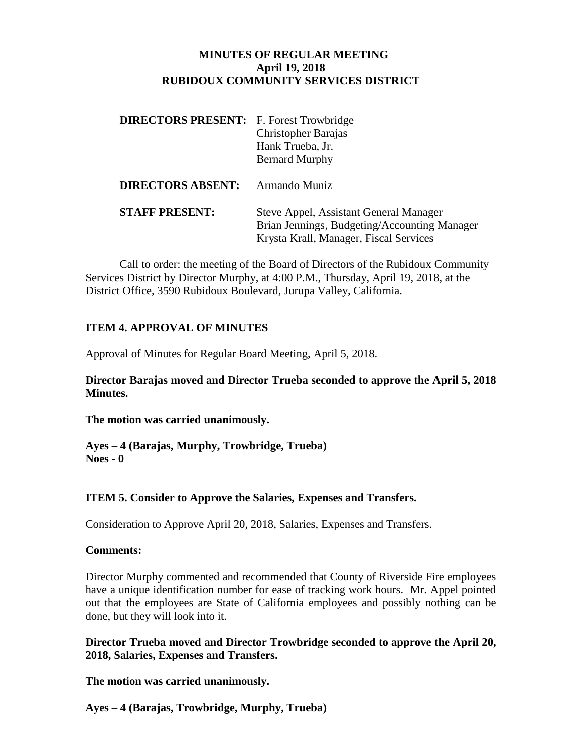### **MINUTES OF REGULAR MEETING April 19, 2018 RUBIDOUX COMMUNITY SERVICES DISTRICT**

| <b>DIRECTORS PRESENT:</b> F. Forest Trowbridge | <b>Christopher Barajas</b><br>Hank Trueba, Jr.<br><b>Bernard Murphy</b>                                                          |
|------------------------------------------------|----------------------------------------------------------------------------------------------------------------------------------|
| <b>DIRECTORS ABSENT:</b>                       | Armando Muniz                                                                                                                    |
| <b>STAFF PRESENT:</b>                          | Steve Appel, Assistant General Manager<br>Brian Jennings, Budgeting/Accounting Manager<br>Krysta Krall, Manager, Fiscal Services |

Call to order: the meeting of the Board of Directors of the Rubidoux Community Services District by Director Murphy, at 4:00 P.M., Thursday, April 19, 2018, at the District Office, 3590 Rubidoux Boulevard, Jurupa Valley, California.

### **ITEM 4. APPROVAL OF MINUTES**

Approval of Minutes for Regular Board Meeting, April 5, 2018.

**Director Barajas moved and Director Trueba seconded to approve the April 5, 2018 Minutes.**

**The motion was carried unanimously.**

**Ayes – 4 (Barajas, Murphy, Trowbridge, Trueba) Noes - 0**

## **ITEM 5. Consider to Approve the Salaries, Expenses and Transfers.**

Consideration to Approve April 20, 2018, Salaries, Expenses and Transfers.

### **Comments:**

Director Murphy commented and recommended that County of Riverside Fire employees have a unique identification number for ease of tracking work hours. Mr. Appel pointed out that the employees are State of California employees and possibly nothing can be done, but they will look into it.

**Director Trueba moved and Director Trowbridge seconded to approve the April 20, 2018, Salaries, Expenses and Transfers.**

**The motion was carried unanimously.**

**Ayes – 4 (Barajas, Trowbridge, Murphy, Trueba)**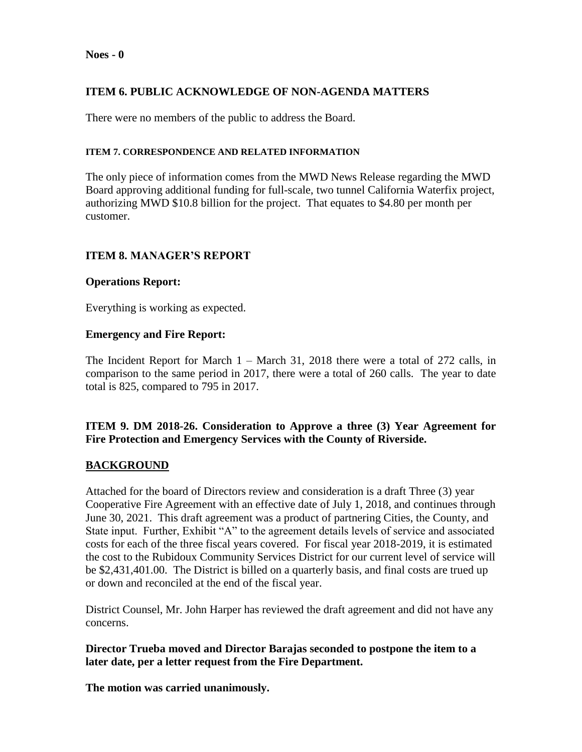#### **Noes - 0**

# **ITEM 6. PUBLIC ACKNOWLEDGE OF NON-AGENDA MATTERS**

There were no members of the public to address the Board.

#### **ITEM 7. CORRESPONDENCE AND RELATED INFORMATION**

The only piece of information comes from the MWD News Release regarding the MWD Board approving additional funding for full-scale, two tunnel California Waterfix project, authorizing MWD \$10.8 billion for the project. That equates to \$4.80 per month per customer.

### **ITEM 8. MANAGER'S REPORT**

### **Operations Report:**

Everything is working as expected.

### **Emergency and Fire Report:**

The Incident Report for March 1 – March 31, 2018 there were a total of 272 calls, in comparison to the same period in 2017, there were a total of 260 calls. The year to date total is 825, compared to 795 in 2017.

## **ITEM 9. DM 2018-26. Consideration to Approve a three (3) Year Agreement for Fire Protection and Emergency Services with the County of Riverside.**

### **BACKGROUND**

Attached for the board of Directors review and consideration is a draft Three (3) year Cooperative Fire Agreement with an effective date of July 1, 2018, and continues through June 30, 2021. This draft agreement was a product of partnering Cities, the County, and State input. Further, Exhibit "A" to the agreement details levels of service and associated costs for each of the three fiscal years covered. For fiscal year 2018-2019, it is estimated the cost to the Rubidoux Community Services District for our current level of service will be \$2,431,401.00. The District is billed on a quarterly basis, and final costs are trued up or down and reconciled at the end of the fiscal year.

District Counsel, Mr. John Harper has reviewed the draft agreement and did not have any concerns.

**Director Trueba moved and Director Barajas seconded to postpone the item to a later date, per a letter request from the Fire Department.**

**The motion was carried unanimously.**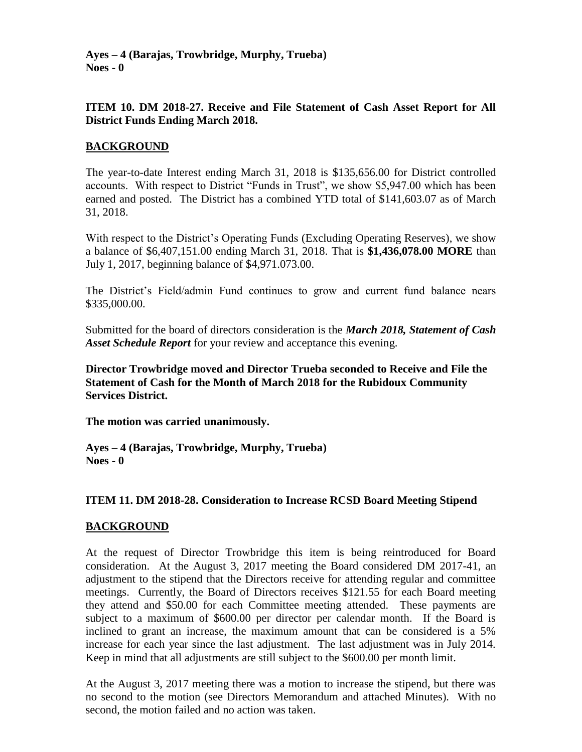**Ayes – 4 (Barajas, Trowbridge, Murphy, Trueba) Noes - 0**

### **ITEM 10. DM 2018-27. Receive and File Statement of Cash Asset Report for All District Funds Ending March 2018.**

### **BACKGROUND**

The year-to-date Interest ending March 31, 2018 is \$135,656.00 for District controlled accounts. With respect to District "Funds in Trust", we show \$5,947.00 which has been earned and posted. The District has a combined YTD total of \$141,603.07 as of March 31, 2018.

With respect to the District's Operating Funds (Excluding Operating Reserves), we show a balance of \$6,407,151.00 ending March 31, 2018. That is **\$1,436,078.00 MORE** than July 1, 2017, beginning balance of \$4,971.073.00.

The District's Field/admin Fund continues to grow and current fund balance nears \$335,000.00.

Submitted for the board of directors consideration is the *March 2018, Statement of Cash Asset Schedule Report* for your review and acceptance this evening.

**Director Trowbridge moved and Director Trueba seconded to Receive and File the Statement of Cash for the Month of March 2018 for the Rubidoux Community Services District.**

**The motion was carried unanimously.**

**Ayes – 4 (Barajas, Trowbridge, Murphy, Trueba) Noes - 0**

### **ITEM 11. DM 2018-28. Consideration to Increase RCSD Board Meeting Stipend**

### **BACKGROUND**

At the request of Director Trowbridge this item is being reintroduced for Board consideration. At the August 3, 2017 meeting the Board considered DM 2017-41, an adjustment to the stipend that the Directors receive for attending regular and committee meetings. Currently, the Board of Directors receives \$121.55 for each Board meeting they attend and \$50.00 for each Committee meeting attended. These payments are subject to a maximum of \$600.00 per director per calendar month. If the Board is inclined to grant an increase, the maximum amount that can be considered is a 5% increase for each year since the last adjustment. The last adjustment was in July 2014. Keep in mind that all adjustments are still subject to the \$600.00 per month limit.

At the August 3, 2017 meeting there was a motion to increase the stipend, but there was no second to the motion (see Directors Memorandum and attached Minutes). With no second, the motion failed and no action was taken.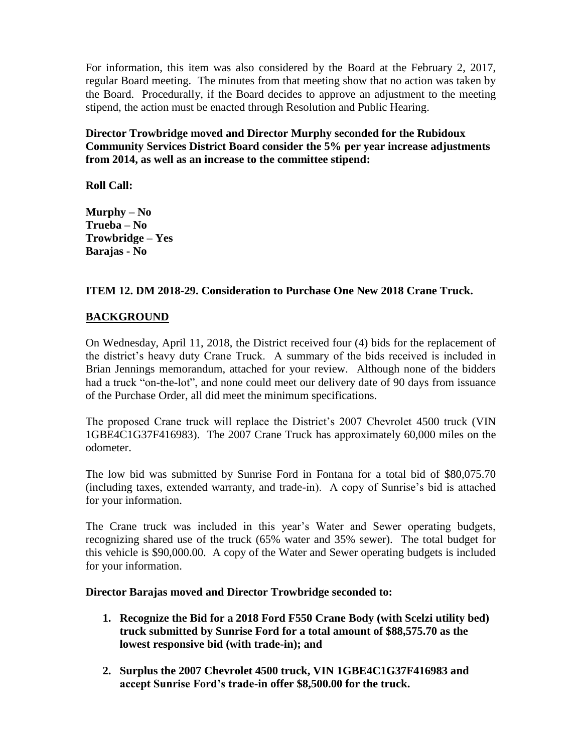For information, this item was also considered by the Board at the February 2, 2017, regular Board meeting. The minutes from that meeting show that no action was taken by the Board. Procedurally, if the Board decides to approve an adjustment to the meeting stipend, the action must be enacted through Resolution and Public Hearing.

**Director Trowbridge moved and Director Murphy seconded for the Rubidoux Community Services District Board consider the 5% per year increase adjustments from 2014, as well as an increase to the committee stipend:**

**Roll Call:**

**Murphy – No Trueba – No Trowbridge – Yes Barajas - No**

## **ITEM 12. DM 2018-29. Consideration to Purchase One New 2018 Crane Truck.**

# **BACKGROUND**

On Wednesday, April 11, 2018, the District received four (4) bids for the replacement of the district's heavy duty Crane Truck. A summary of the bids received is included in Brian Jennings memorandum, attached for your review. Although none of the bidders had a truck "on-the-lot", and none could meet our delivery date of 90 days from issuance of the Purchase Order, all did meet the minimum specifications.

The proposed Crane truck will replace the District's 2007 Chevrolet 4500 truck (VIN 1GBE4C1G37F416983). The 2007 Crane Truck has approximately 60,000 miles on the odometer.

The low bid was submitted by Sunrise Ford in Fontana for a total bid of \$80,075.70 (including taxes, extended warranty, and trade-in). A copy of Sunrise's bid is attached for your information.

The Crane truck was included in this year's Water and Sewer operating budgets, recognizing shared use of the truck (65% water and 35% sewer). The total budget for this vehicle is \$90,000.00. A copy of the Water and Sewer operating budgets is included for your information.

### **Director Barajas moved and Director Trowbridge seconded to:**

- **1. Recognize the Bid for a 2018 Ford F550 Crane Body (with Scelzi utility bed) truck submitted by Sunrise Ford for a total amount of \$88,575.70 as the lowest responsive bid (with trade-in); and**
- **2. Surplus the 2007 Chevrolet 4500 truck, VIN 1GBE4C1G37F416983 and accept Sunrise Ford's trade-in offer \$8,500.00 for the truck.**